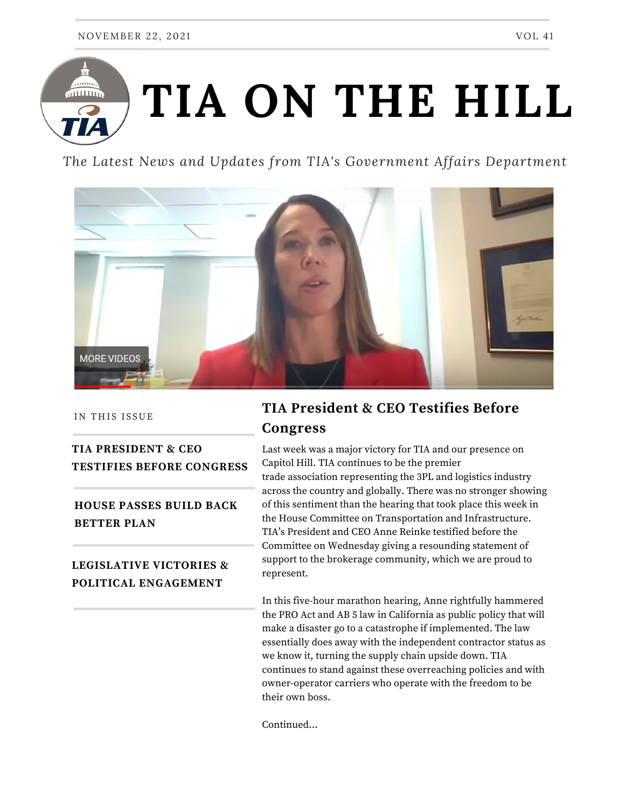

*The Latest News and Updates from TIA's Government Affairs Department*



IN THIS ISSUE

### **TIA PRESIDENT & CEO TESTIFIES BEFORE CONGRESS**

**HOUSE PASSES BUILD BACK BETTER PLAN**

#### **LEGISLATIVE VICTORIES & POLITICAL ENGAGEMENT**

# **TIA President & CEO Testifies Before Congress**

Last week was a major victory for TIA and our presence on Capitol Hill. TIA continues to be the premier trade association representing the 3PL and logistics industry across the country and globally. There was no stronger showing of this sentiment than the hearing that took place this week in the House Committee on Transportation and Infrastructure. TIA's President and CEO Anne Reinke testified before the Committee on Wednesday giving a resounding statement of support to the brokerage community, which we are proud to represent.

In this five-hour marathon hearing, Anne rightfully hammered the PRO Act and AB 5 law in California as public policy that will make a disaster go to a catastrophe if implemented. The law essentially does away with the independent contractor status as we know it, turning the supply chain upside down. TIA continues to stand against these overreaching policies and with owner-operator carriers who operate with the freedom to be their own boss.

Continued...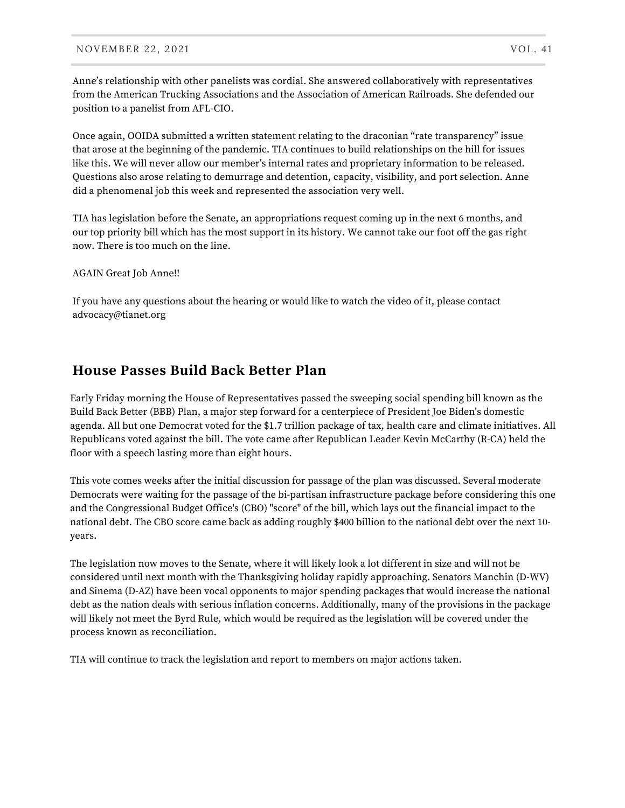Anne's relationship with other panelists was cordial. She answered collaboratively with representatives from the American Trucking Associations and the Association of American Railroads. She defended our position to a panelist from AFL-CIO.

Once again, OOIDA submitted a written statement relating to the draconian "rate transparency" issue that arose at the beginning of the pandemic. TIA continues to build relationships on the hill for issues like this. We will never allow our member's internal rates and proprietary information to be released. Questions also arose relating to demurrage and detention, capacity, visibility, and port selection. Anne did a phenomenal job this week and represented the association very well.

TIA has legislation before the Senate, an appropriations request coming up in the next 6 months, and our top priority bill which has the most support in its history. We cannot take our foot off the gas right now. There is too much on the line.

AGAIN Great Job Anne!!

If you have any questions about the hearing or would like to watch the video of it, please contact advocacy@tianet.org

### **House Passes Build Back Better Plan**

Early Friday morning the House of Representatives passed the sweeping social spending bill known as the Build Back Better (BBB) Plan, a major step forward for a centerpiece of President Joe Biden's domestic agenda. All but one Democrat voted for the \$1.7 trillion package of tax, health care and climate initiatives. All Republicans voted against the bill. The vote came after Republican Leader Kevin McCarthy (R-CA) held the floor with a speech lasting more than eight hours.

This vote comes weeks after the initial discussion for passage of the plan was discussed. Several moderate Democrats were waiting for the passage of the bi-partisan infrastructure package before considering this one and the Congressional Budget Office's (CBO) "score" of the bill, which lays out the financial impact to the national debt. The CBO score came back as adding roughly \$400 billion to the national debt over the next 10 years.

The legislation now moves to the Senate, where it will likely look a lot different in size and will not be considered until next month with the Thanksgiving holiday rapidly approaching. Senators Manchin (D-WV) and Sinema (D-AZ) have been vocal opponents to major spending packages that would increase the national debt as the nation deals with serious inflation concerns. Additionally, many of the provisions in the package will likely not meet the Byrd Rule, which would be required as the legislation will be covered under the process known as reconciliation.

TIA will continue to track the legislation and report to members on major actions taken.